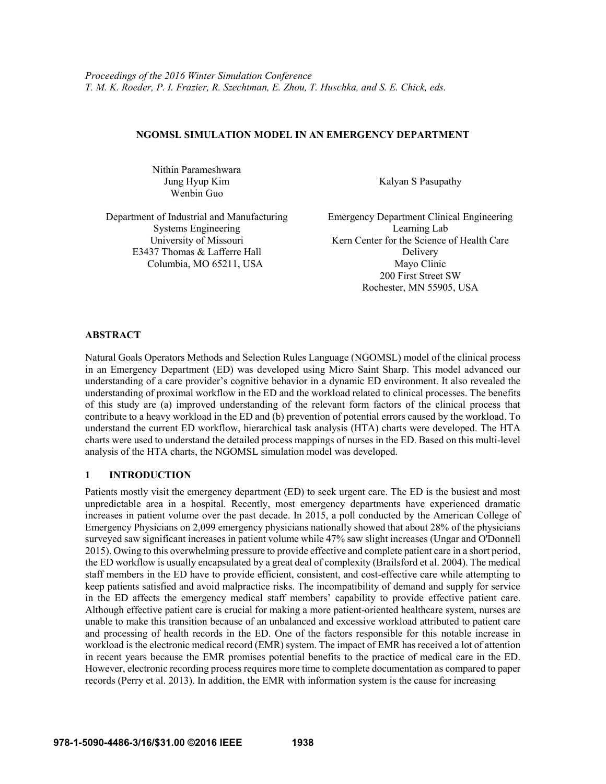# **NGOMSL SIMULATION MODEL IN AN EMERGENCY DEPARTMENT**

Nithin Parameshwara Jung Hyup Kim Wenbin Guo

Department of Industrial and Manufacturing Systems Engineering University of Missouri E3437 Thomas & Lafferre Hall Columbia, MO 65211, USA

Emergency Department Clinical Engineering Learning Lab Kern Center for the Science of Health Care Delivery Mayo Clinic 200 First Street SW

Rochester, MN 55905, USA

Kalyan S Pasupathy

# **ABSTRACT**

Natural Goals Operators Methods and Selection Rules Language (NGOMSL) model of the clinical process in an Emergency Department (ED) was developed using Micro Saint Sharp. This model advanced our understanding of a care provider's cognitive behavior in a dynamic ED environment. It also revealed the understanding of proximal workflow in the ED and the workload related to clinical processes. The benefits of this study are (a) improved understanding of the relevant form factors of the clinical process that contribute to a heavy workload in the ED and (b) prevention of potential errors caused by the workload. To understand the current ED workflow, hierarchical task analysis (HTA) charts were developed. The HTA charts were used to understand the detailed process mappings of nurses in the ED. Based on this multi-level analysis of the HTA charts, the NGOMSL simulation model was developed.

# **1 INTRODUCTION**

Patients mostly visit the emergency department (ED) to seek urgent care. The ED is the busiest and most unpredictable area in a hospital. Recently, most emergency departments have experienced dramatic increases in patient volume over the past decade. In 2015, a poll conducted by the American College of Emergency Physicians on 2,099 emergency physicians nationally showed that about 28% of the physicians surveyed saw significant increases in patient volume while 47% saw slight increases (Ungar and O'Donnell 2015). Owing to this overwhelming pressure to provide effective and complete patient care in a short period, the ED workflow is usually encapsulated by a great deal of complexity (Brailsford et al. 2004). The medical staff members in the ED have to provide efficient, consistent, and cost-effective care while attempting to keep patients satisfied and avoid malpractice risks. The incompatibility of demand and supply for service in the ED affects the emergency medical staff members' capability to provide effective patient care. Although effective patient care is crucial for making a more patient-oriented healthcare system, nurses are unable to make this transition because of an unbalanced and excessive workload attributed to patient care and processing of health records in the ED. One of the factors responsible for this notable increase in workload is the electronic medical record (EMR) system. The impact of EMR has received a lot of attention in recent years because the EMR promises potential benefits to the practice of medical care in the ED. However, electronic recording process requires more time to complete documentation as compared to paper records (Perry et al. 2013). In addition, the EMR with information system is the cause for increasing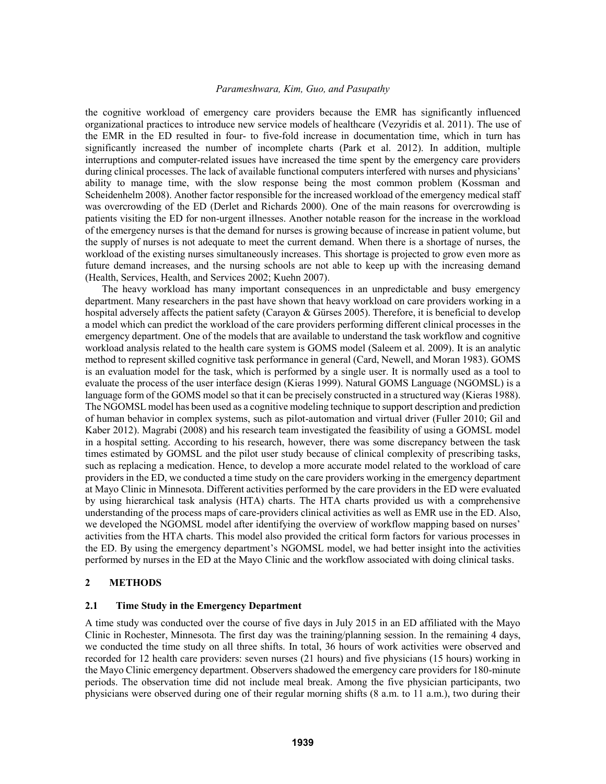the cognitive workload of emergency care providers because the EMR has significantly influenced organizational practices to introduce new service models of healthcare (Vezyridis et al. 2011). The use of the EMR in the ED resulted in four- to five-fold increase in documentation time, which in turn has significantly increased the number of incomplete charts (Park et al. 2012). In addition, multiple interruptions and computer-related issues have increased the time spent by the emergency care providers during clinical processes. The lack of available functional computers interfered with nurses and physicians' ability to manage time, with the slow response being the most common problem (Kossman and Scheidenhelm 2008). Another factor responsible for the increased workload of the emergency medical staff was overcrowding of the ED (Derlet and Richards 2000). One of the main reasons for overcrowding is patients visiting the ED for non-urgent illnesses. Another notable reason for the increase in the workload of the emergency nurses is that the demand for nurses is growing because of increase in patient volume, but the supply of nurses is not adequate to meet the current demand. When there is a shortage of nurses, the workload of the existing nurses simultaneously increases. This shortage is projected to grow even more as future demand increases, and the nursing schools are not able to keep up with the increasing demand (Health, Services, Health, and Services 2002; Kuehn 2007).

The heavy workload has many important consequences in an unpredictable and busy emergency department. Many researchers in the past have shown that heavy workload on care providers working in a hospital adversely affects the patient safety (Carayon & Gürses 2005). Therefore, it is beneficial to develop a model which can predict the workload of the care providers performing different clinical processes in the emergency department. One of the models that are available to understand the task workflow and cognitive workload analysis related to the health care system is GOMS model (Saleem et al. 2009). It is an analytic method to represent skilled cognitive task performance in general (Card, Newell, and Moran 1983). GOMS is an evaluation model for the task, which is performed by a single user. It is normally used as a tool to evaluate the process of the user interface design (Kieras 1999). Natural GOMS Language (NGOMSL) is a language form of the GOMS model so that it can be precisely constructed in a structured way (Kieras 1988). The NGOMSL model has been used as a cognitive modeling technique to support description and prediction of human behavior in complex systems, such as pilot-automation and virtual driver (Fuller 2010; Gil and Kaber 2012). Magrabi (2008) and his research team investigated the feasibility of using a GOMSL model in a hospital setting. According to his research, however, there was some discrepancy between the task times estimated by GOMSL and the pilot user study because of clinical complexity of prescribing tasks, such as replacing a medication. Hence, to develop a more accurate model related to the workload of care providers in the ED, we conducted a time study on the care providers working in the emergency department at Mayo Clinic in Minnesota. Different activities performed by the care providers in the ED were evaluated by using hierarchical task analysis (HTA) charts. The HTA charts provided us with a comprehensive understanding of the process maps of care-providers clinical activities as well as EMR use in the ED. Also, we developed the NGOMSL model after identifying the overview of workflow mapping based on nurses' activities from the HTA charts. This model also provided the critical form factors for various processes in the ED. By using the emergency department's NGOMSL model, we had better insight into the activities performed by nurses in the ED at the Mayo Clinic and the workflow associated with doing clinical tasks.

#### **2 METHODS**

#### **2.1 Time Study in the Emergency Department**

A time study was conducted over the course of five days in July 2015 in an ED affiliated with the Mayo Clinic in Rochester, Minnesota. The first day was the training/planning session. In the remaining 4 days, we conducted the time study on all three shifts. In total, 36 hours of work activities were observed and recorded for 12 health care providers: seven nurses (21 hours) and five physicians (15 hours) working in the Mayo Clinic emergency department. Observers shadowed the emergency care providers for 180-minute periods. The observation time did not include meal break. Among the five physician participants, two physicians were observed during one of their regular morning shifts (8 a.m. to 11 a.m.), two during their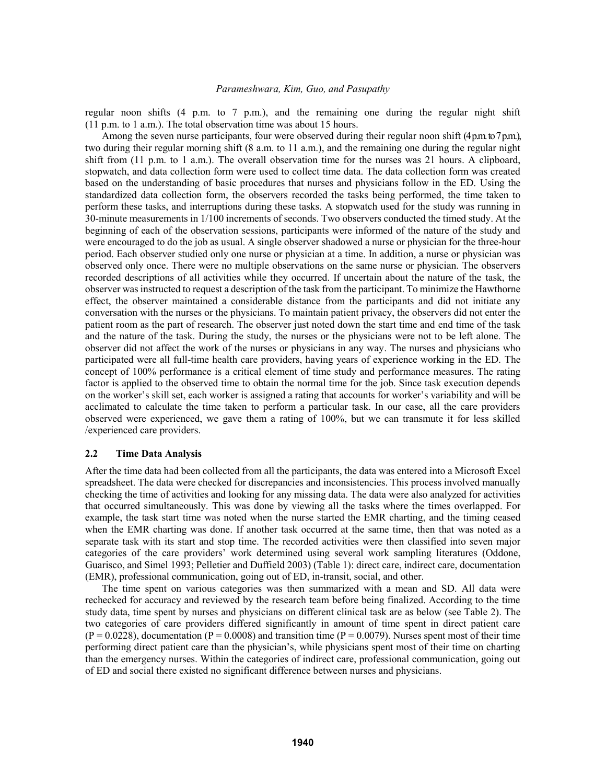regular noon shifts  $(4 \text{ p.m. to } 7 \text{ p.m.})$ , and the remaining one during the regular night shift (11 p.m. to 1 a.m.). The total observation time was about 15 hours.

Among the seven nurse participants, four were observed during their regular noon shift  $(4 \text{pm to 7 pm})$ , two during their regular morning shift (8 a.m. to 11 a.m.), and the remaining one during the regular night shift from (11 p.m. to 1 a.m.). The overall observation time for the nurses was 21 hours. A clipboard, stopwatch, and data collection form were used to collect time data. The data collection form was created based on the understanding of basic procedures that nurses and physicians follow in the ED. Using the standardized data collection form, the observers recorded the tasks being performed, the time taken to perform these tasks, and interruptions during these tasks. A stopwatch used for the study was running in 30-minute measurements in 1/100 increments of seconds. Two observers conducted the timed study. At the beginning of each of the observation sessions, participants were informed of the nature of the study and were encouraged to do the job as usual. A single observer shadowed a nurse or physician for the three-hour period. Each observer studied only one nurse or physician at a time. In addition, a nurse or physician was observed only once. There were no multiple observations on the same nurse or physician. The observers recorded descriptions of all activities while they occurred. If uncertain about the nature of the task, the observer was instructed to request a description of the task from the participant. To minimize the Hawthorne effect, the observer maintained a considerable distance from the participants and did not initiate any conversation with the nurses or the physicians. To maintain patient privacy, the observers did not enter the patient room as the part of research. The observer just noted down the start time and end time of the task and the nature of the task. During the study, the nurses or the physicians were not to be left alone. The observer did not affect the work of the nurses or physicians in any way. The nurses and physicians who participated were all full-time health care providers, having years of experience working in the ED. The concept of 100% performance is a critical element of time study and performance measures. The rating factor is applied to the observed time to obtain the normal time for the job. Since task execution depends on the worker's skill set, each worker is assigned a rating that accounts for worker's variability and will be acclimated to calculate the time taken to perform a particular task. In our case, all the care providers observed were experienced, we gave them a rating of 100%, but we can transmute it for less skilled /experienced care providers.

#### **2.2 Time Data Analysis**

After the time data had been collected from all the participants, the data was entered into a Microsoft Excel spreadsheet. The data were checked for discrepancies and inconsistencies. This process involved manually checking the time of activities and looking for any missing data. The data were also analyzed for activities that occurred simultaneously. This was done by viewing all the tasks where the times overlapped. For example, the task start time was noted when the nurse started the EMR charting, and the timing ceased when the EMR charting was done. If another task occurred at the same time, then that was noted as a separate task with its start and stop time. The recorded activities were then classified into seven major categories of the care providers' work determined using several work sampling literatures (Oddone, Guarisco, and Simel 1993; Pelletier and Duffield 2003) (Table 1): direct care, indirect care, documentation (EMR), professional communication, going out of ED, in-transit, social, and other.

The time spent on various categories was then summarized with a mean and SD. All data were rechecked for accuracy and reviewed by the research team before being finalized. According to the time study data, time spent by nurses and physicians on different clinical task are as below (see Table 2). The two categories of care providers differed significantly in amount of time spent in direct patient care  $(P = 0.0228)$ , documentation  $(P = 0.0008)$  and transition time  $(P = 0.0079)$ . Nurses spent most of their time performing direct patient care than the physician's, while physicians spent most of their time on charting than the emergency nurses. Within the categories of indirect care, professional communication, going out of ED and social there existed no significant difference between nurses and physicians.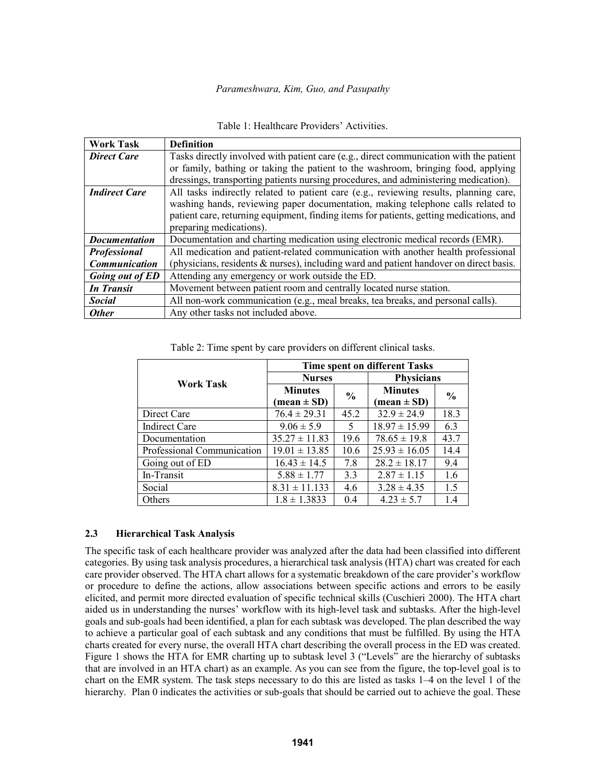| <b>Work Task</b>     | <b>Definition</b>                                                                       |
|----------------------|-----------------------------------------------------------------------------------------|
| <b>Direct Care</b>   | Tasks directly involved with patient care (e.g., direct communication with the patient  |
|                      | or family, bathing or taking the patient to the washroom, bringing food, applying       |
|                      | dressings, transporting patients nursing procedures, and administering medication).     |
| <b>Indirect Care</b> | All tasks indirectly related to patient care (e.g., reviewing results, planning care,   |
|                      | washing hands, reviewing paper documentation, making telephone calls related to         |
|                      | patient care, returning equipment, finding items for patients, getting medications, and |
|                      | preparing medications).                                                                 |
| <b>Documentation</b> | Documentation and charting medication using electronic medical records (EMR).           |
| <b>Professional</b>  | All medication and patient-related communication with another health professional       |
| <b>Communication</b> | (physicians, residents & nurses), including ward and patient handover on direct basis.  |
| Going out of ED      | Attending any emergency or work outside the ED.                                         |
| <b>In Transit</b>    | Movement between patient room and centrally located nurse station.                      |
| <b>Social</b>        | All non-work communication (e.g., meal breaks, tea breaks, and personal calls).         |
| <b>Other</b>         | Any other tasks not included above.                                                     |

| Table 2: Time spent by care providers on different clinical tasks. |  |
|--------------------------------------------------------------------|--|
|--------------------------------------------------------------------|--|

|                            | <b>Time spent on different Tasks</b> |               |                   |               |  |  |
|----------------------------|--------------------------------------|---------------|-------------------|---------------|--|--|
| <b>Work Task</b>           | <b>Nurses</b>                        |               | <b>Physicians</b> |               |  |  |
|                            | <b>Minutes</b>                       | $\frac{0}{0}$ | <b>Minutes</b>    | $\frac{6}{9}$ |  |  |
|                            | $(\text{mean} \pm \text{SD})$        |               | $mean \pm SD$     |               |  |  |
| Direct Care                | $76.4 \pm 29.31$                     | 45.2          | $32.9 \pm 24.9$   | 18.3          |  |  |
| <b>Indirect Care</b>       | $9.06 \pm 5.9$                       | 5             | $18.97 \pm 15.99$ | 6.3           |  |  |
| Documentation              | $35.27 \pm 11.83$                    | 19.6          | $78.65 \pm 19.8$  | 43.7          |  |  |
| Professional Communication | $19.01 \pm 13.85$                    | 10.6          | $25.93 \pm 16.05$ | 14.4          |  |  |
| Going out of ED            | $16.43 \pm 14.5$                     | 7.8           | $28.2 \pm 18.17$  | 9.4           |  |  |
| In-Transit                 | $5.88 \pm 1.77$                      | 3.3           | $2.87 \pm 1.15$   | 1.6           |  |  |
| Social                     | $8.31 \pm 11.133$                    | 4.6           | $3.28 \pm 4.35$   | 1.5           |  |  |
| Others                     | $1.8 \pm 1.3833$                     | 0.4           | $4.23 \pm 5.7$    | 1.4           |  |  |

# **2.3 Hierarchical Task Analysis**

The specific task of each healthcare provider was analyzed after the data had been classified into different categories. By using task analysis procedures, a hierarchical task analysis (HTA) chart was created for each care provider observed. The HTA chart allows for a systematic breakdown of the care provider's workflow or procedure to define the actions, allow associations between specific actions and errors to be easily elicited, and permit more directed evaluation of specific technical skills (Cuschieri 2000). The HTA chart aided us in understanding the nurses' workflow with its high-level task and subtasks. After the high-level goals and sub-goals had been identified, a plan for each subtask was developed. The plan described the way to achieve a particular goal of each subtask and any conditions that must be fulfilled. By using the HTA charts created for every nurse, the overall HTA chart describing the overall process in the ED was created. Figure 1 shows the HTA for EMR charting up to subtask level 3 ("Levels" are the hierarchy of subtasks that are involved in an HTA chart) as an example. As you can see from the figure, the top-level goal is to chart on the EMR system. The task steps necessary to do this are listed as tasks 1–4 on the level 1 of the hierarchy. Plan 0 indicates the activities or sub-goals that should be carried out to achieve the goal. These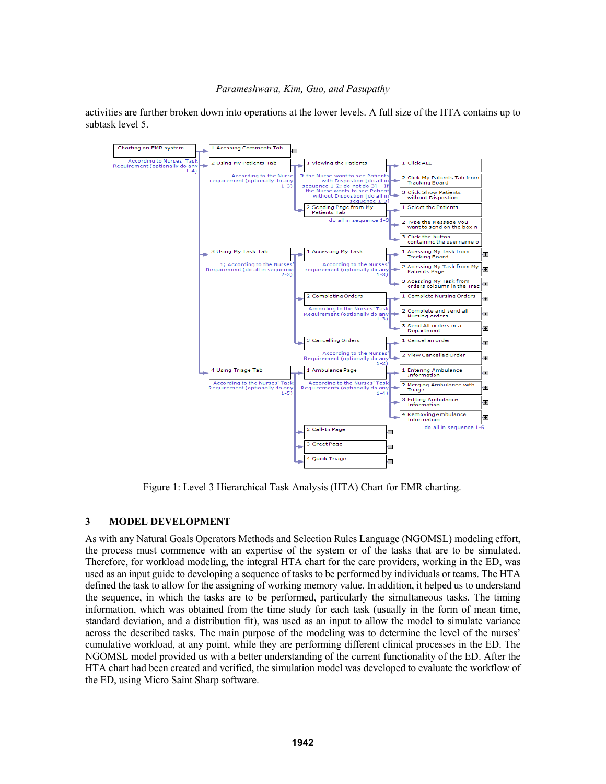*Parameshwara, Kim, Guo, and Pasupathy*

activities are further broken down into operations at the lower levels. A full size of the HTA contains up to subtask level 5.



Figure 1: Level 3 Hierarchical Task Analysis (HTA) Chart for EMR charting.

# **3 MODEL DEVELOPMENT**

As with any Natural Goals Operators Methods and Selection Rules Language (NGOMSL) modeling effort, the process must commence with an expertise of the system or of the tasks that are to be simulated. Therefore, for workload modeling, the integral HTA chart for the care providers, working in the ED, was used as an input guide to developing a sequence of tasks to be performed by individuals or teams. The HTA defined the task to allow for the assigning of working memory value. In addition, it helped us to understand the sequence, in which the tasks are to be performed, particularly the simultaneous tasks. The timing information, which was obtained from the time study for each task (usually in the form of mean time, standard deviation, and a distribution fit), was used as an input to allow the model to simulate variance across the described tasks. The main purpose of the modeling was to determine the level of the nurses' cumulative workload, at any point, while they are performing different clinical processes in the ED. The NGOMSL model provided us with a better understanding of the current functionality of the ED. After the HTA chart had been created and verified, the simulation model was developed to evaluate the workflow of the ED, using Micro Saint Sharp software.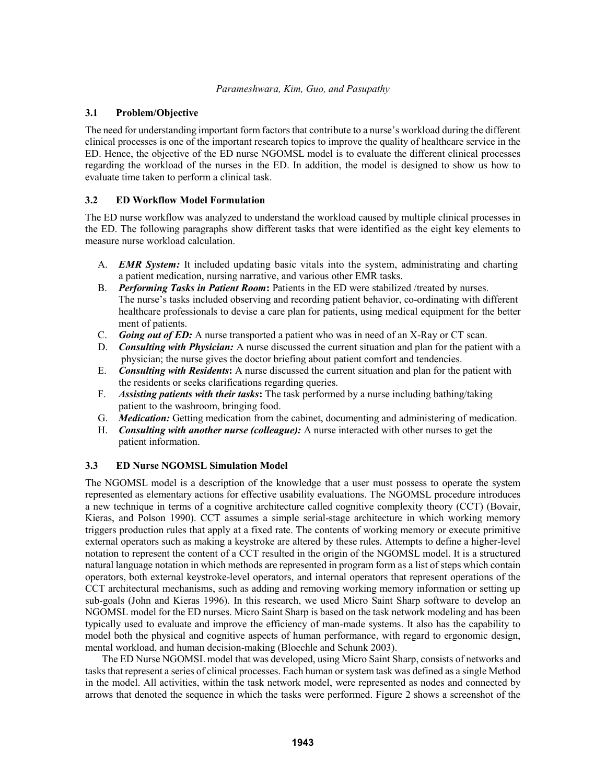# **3.1 Problem/Objective**

The need for understanding important form factors that contribute to a nurse's workload during the different clinical processes is one of the important research topics to improve the quality of healthcare service in the ED. Hence, the objective of the ED nurse NGOMSL model is to evaluate the different clinical processes regarding the workload of the nurses in the ED. In addition, the model is designed to show us how to evaluate time taken to perform a clinical task.

# **3.2 ED Workflow Model Formulation**

The ED nurse workflow was analyzed to understand the workload caused by multiple clinical processes in the ED. The following paragraphs show different tasks that were identified as the eight key elements to measure nurse workload calculation.

- A. *EMR System:* It included updating basic vitals into the system, administrating and charting a patient medication, nursing narrative, and various other EMR tasks.
- B. *Performing Tasks in Patient Room***:** Patients in the ED were stabilized /treated by nurses. The nurse's tasks included observing and recording patient behavior, co-ordinating with different healthcare professionals to devise a care plan for patients, using medical equipment for the better ment of patients.
- C. *Going out of ED:* A nurse transported a patient who was in need of an X-Ray or CT scan.
- D. *Consulting with Physician:* A nurse discussed the current situation and plan for the patient with a physician; the nurse gives the doctor briefing about patient comfort and tendencies.
- E. *Consulting with Residents***:** A nurse discussed the current situation and plan for the patient with the residents or seeks clarifications regarding queries.
- F. *Assisting patients with their tasks***:** The task performed by a nurse including bathing/taking patient to the washroom, bringing food.
- G. *Medication:* Getting medication from the cabinet, documenting and administering of medication.
- H. *Consulting with another nurse (colleague):* A nurse interacted with other nurses to get the patient information.

# **3.3 ED Nurse NGOMSL Simulation Model**

The NGOMSL model is a description of the knowledge that a user must possess to operate the system represented as elementary actions for effective usability evaluations. The NGOMSL procedure introduces a new technique in terms of a cognitive architecture called cognitive complexity theory (CCT) (Bovair, Kieras, and Polson 1990). CCT assumes a simple serial-stage architecture in which working memory triggers production rules that apply at a fixed rate. The contents of working memory or execute primitive external operators such as making a keystroke are altered by these rules. Attempts to define a higher-level notation to represent the content of a CCT resulted in the origin of the NGOMSL model. It is a structured natural language notation in which methods are represented in program form as a list of steps which contain operators, both external keystroke-level operators, and internal operators that represent operations of the CCT architectural mechanisms, such as adding and removing working memory information or setting up sub-goals (John and Kieras 1996). In this research, we used Micro Saint Sharp software to develop an NGOMSL model for the ED nurses. Micro Saint Sharp is based on the task network modeling and has been typically used to evaluate and improve the efficiency of man-made systems. It also has the capability to model both the physical and cognitive aspects of human performance, with regard to ergonomic design, mental workload, and human decision-making (Bloechle and Schunk 2003).

The ED Nurse NGOMSL model that was developed, using Micro Saint Sharp, consists of networks and tasks that represent a series of clinical processes. Each human or system task was defined as a single Method in the model. All activities, within the task network model, were represented as nodes and connected by arrows that denoted the sequence in which the tasks were performed. Figure 2 shows a screenshot of the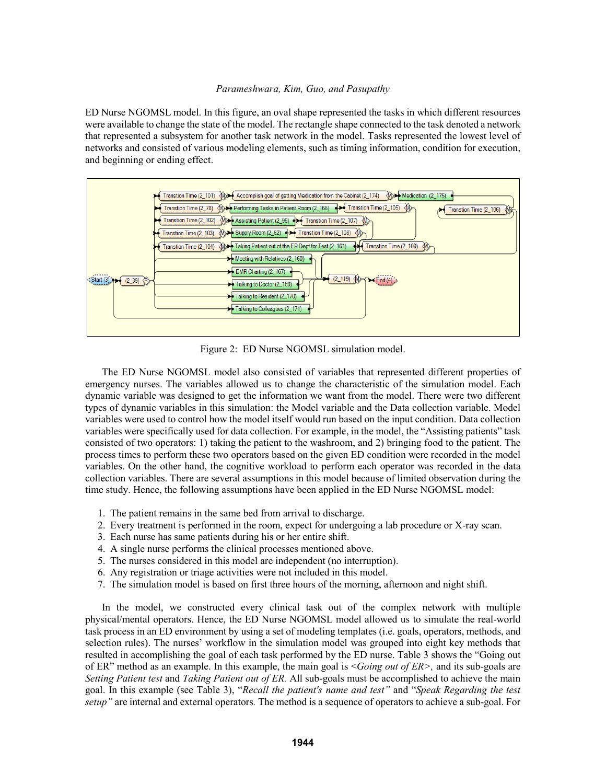ED Nurse NGOMSL model. In this figure, an oval shape represented the tasks in which different resources were available to change the state of the model. The rectangle shape connected to the task denoted a network that represented a subsystem for another task network in the model. Tasks represented the lowest level of networks and consisted of various modeling elements, such as timing information, condition for execution, and beginning or ending effect.



Figure 2: ED Nurse NGOMSL simulation model.

The ED Nurse NGOMSL model also consisted of variables that represented different properties of emergency nurses. The variables allowed us to change the characteristic of the simulation model. Each dynamic variable was designed to get the information we want from the model. There were two different types of dynamic variables in this simulation: the Model variable and the Data collection variable. Model variables were used to control how the model itself would run based on the input condition. Data collection variables were specifically used for data collection. For example, in the model, the "Assisting patients" task consisted of two operators: 1) taking the patient to the washroom, and 2) bringing food to the patient. The process times to perform these two operators based on the given ED condition were recorded in the model variables. On the other hand, the cognitive workload to perform each operator was recorded in the data collection variables. There are several assumptions in this model because of limited observation during the time study. Hence, the following assumptions have been applied in the ED Nurse NGOMSL model:

- 1. The patient remains in the same bed from arrival to discharge.
- 2. Every treatment is performed in the room, expect for undergoing a lab procedure or X-ray scan.
- 3. Each nurse has same patients during his or her entire shift.
- 4. A single nurse performs the clinical processes mentioned above.
- 5. The nurses considered in this model are independent (no interruption).
- 6. Any registration or triage activities were not included in this model.
- 7. The simulation model is based on first three hours of the morning, afternoon and night shift.

In the model, we constructed every clinical task out of the complex network with multiple physical/mental operators. Hence, the ED Nurse NGOMSL model allowed us to simulate the real-world task process in an ED environment by using a set of modeling templates (i.e. goals, operators, methods, and selection rules). The nurses' workflow in the simulation model was grouped into eight key methods that resulted in accomplishing the goal of each task performed by the ED nurse. Table 3 shows the "Going out of ER" method as an example. In this example, the main goal is <*Going out of ER>,* and its sub-goals are *Setting Patient test* and *Taking Patient out of ER.* All sub-goals must be accomplished to achieve the main goal. In this example (see Table 3), "*Recall the patient's name and test"* and "*Speak Regarding the test setup"* are internal and external operators*.* The method is a sequence of operators to achieve a sub-goal. For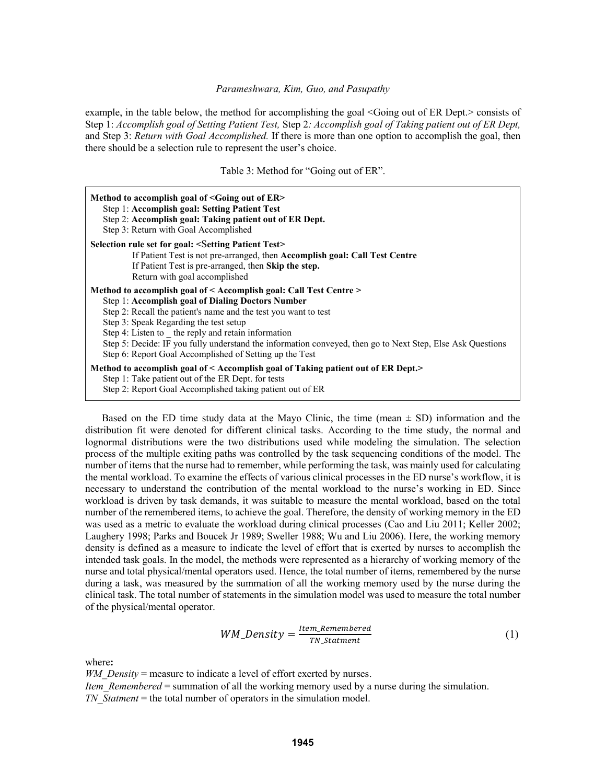example, in the table below, the method for accomplishing the goal <Going out of ER Dept.> consists of Step 1: *Accomplish goal of Setting Patient Test,* Step 2*: Accomplish goal of Taking patient out of ER Dept,*  and Step 3: *Return with Goal Accomplished.* If there is more than one option to accomplish the goal, then there should be a selection rule to represent the user's choice.

Table 3: Method for "Going out of ER".

| Method to accomplish goal of <going er="" of="" out=""><br/>Step 1: Accomplish goal: Setting Patient Test<br/>Step 2: Accomplish goal: Taking patient out of ER Dept.<br/>Step 3: Return with Goal Accomplished</going>                                                                                                                                                                                                                                             |
|---------------------------------------------------------------------------------------------------------------------------------------------------------------------------------------------------------------------------------------------------------------------------------------------------------------------------------------------------------------------------------------------------------------------------------------------------------------------|
| Selection rule set for goal: <setting patient="" test=""><br/>If Patient Test is not pre-arranged, then Accomplish goal: Call Test Centre<br/>If Patient Test is pre-arranged, then Skip the step.<br/>Return with goal accomplished</setting>                                                                                                                                                                                                                      |
| Method to accomplish goal of < Accomplish goal: Call Test Centre ><br>Step 1: Accomplish goal of Dialing Doctors Number<br>Step 2: Recall the patient's name and the test you want to test<br>Step 3: Speak Regarding the test setup<br>Step 4: Listen to the reply and retain information<br>Step 5: Decide: IF you fully understand the information conveyed, then go to Next Step, Else Ask Questions<br>Step 6: Report Goal Accomplished of Setting up the Test |
| Method to accomplish goal of < Accomplish goal of Taking patient out of ER Dept.><br>Step 1: Take patient out of the ER Dept. for tests<br>Step 2: Report Goal Accomplished taking patient out of ER                                                                                                                                                                                                                                                                |

Based on the ED time study data at the Mayo Clinic, the time (mean  $\pm$  SD) information and the distribution fit were denoted for different clinical tasks. According to the time study, the normal and lognormal distributions were the two distributions used while modeling the simulation. The selection process of the multiple exiting paths was controlled by the task sequencing conditions of the model. The number of items that the nurse had to remember, while performing the task, was mainly used for calculating the mental workload. To examine the effects of various clinical processes in the ED nurse's workflow, it is necessary to understand the contribution of the mental workload to the nurse's working in ED. Since workload is driven by task demands, it was suitable to measure the mental workload, based on the total number of the remembered items, to achieve the goal. Therefore, the density of working memory in the ED was used as a metric to evaluate the workload during clinical processes (Cao and Liu 2011; Keller 2002; Laughery 1998; Parks and Boucek Jr 1989; Sweller 1988; Wu and Liu 2006). Here, the working memory density is defined as a measure to indicate the level of effort that is exerted by nurses to accomplish the intended task goals. In the model, the methods were represented as a hierarchy of working memory of the nurse and total physical/mental operators used. Hence, the total number of items, remembered by the nurse during a task, was measured by the summation of all the working memory used by the nurse during the clinical task. The total number of statements in the simulation model was used to measure the total number of the physical/mental operator.

$$
WM\_Density = \frac{Item\_Remembered}{TN\_Statement}
$$
 (1)

where**:** 

*WM\_Density* = measure to indicate a level of effort exerted by nurses.

*Item Remembered* = summation of all the working memory used by a nurse during the simulation. *TN\_Statment* = the total number of operators in the simulation model.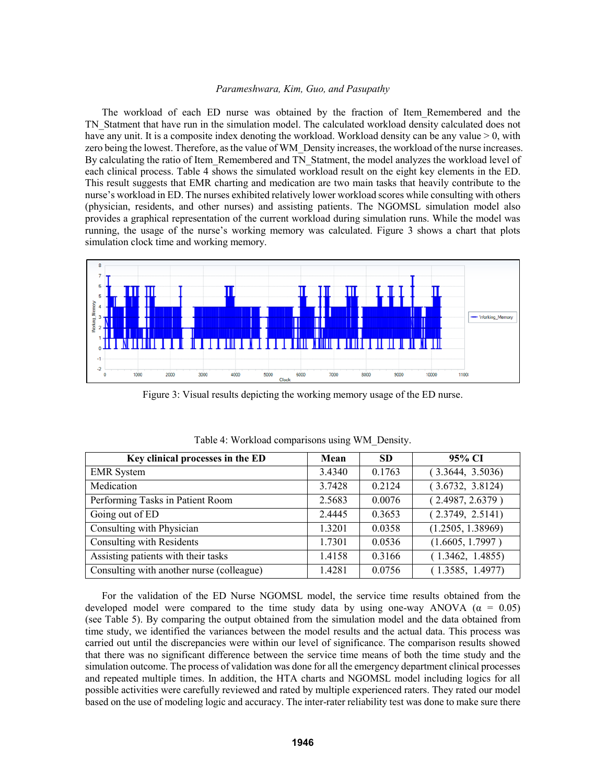The workload of each ED nurse was obtained by the fraction of Item\_Remembered and the TN\_Statment that have run in the simulation model. The calculated workload density calculated does not have any unit. It is a composite index denoting the workload. Workload density can be any value  $> 0$ , with zero being the lowest. Therefore, as the value of WM\_Density increases, the workload of the nurse increases. By calculating the ratio of Item\_Remembered and TN\_Statment, the model analyzes the workload level of each clinical process. Table 4 shows the simulated workload result on the eight key elements in the ED. This result suggests that EMR charting and medication are two main tasks that heavily contribute to the nurse's workload in ED. The nurses exhibited relatively lower workload scores while consulting with others (physician, residents, and other nurses) and assisting patients. The NGOMSL simulation model also provides a graphical representation of the current workload during simulation runs. While the model was running, the usage of the nurse's working memory was calculated. Figure 3 shows a chart that plots simulation clock time and working memory.



Figure 3: Visual results depicting the working memory usage of the ED nurse.

| Key clinical processes in the ED          | Mean   | <b>SD</b> | 95% CI            |
|-------------------------------------------|--------|-----------|-------------------|
| <b>EMR</b> System                         | 3.4340 | 0.1763    | (3.3644, 3.5036)  |
| Medication                                | 3.7428 | 0.2124    | (3.6732, 3.8124)  |
| Performing Tasks in Patient Room          | 2.5683 | 0.0076    | (2.4987, 2.6379)  |
| Going out of ED                           | 2.4445 | 0.3653    | (2.3749, 2.5141)  |
| Consulting with Physician                 | 1.3201 | 0.0358    | (1.2505, 1.38969) |
| Consulting with Residents                 | 1.7301 | 0.0536    | (1.6605, 1.7997)  |
| Assisting patients with their tasks       | 1.4158 | 0.3166    | (1.3462, 1.4855)  |
| Consulting with another nurse (colleague) | 1.4281 | 0.0756    | (1.3585, 1.4977)  |

|  | Table 4: Workload comparisons using WM_Density. |  |  |
|--|-------------------------------------------------|--|--|
|  |                                                 |  |  |

For the validation of the ED Nurse NGOMSL model, the service time results obtained from the developed model were compared to the time study data by using one-way ANOVA ( $\alpha = 0.05$ ) (see Table 5). By comparing the output obtained from the simulation model and the data obtained from time study, we identified the variances between the model results and the actual data. This process was carried out until the discrepancies were within our level of significance. The comparison results showed that there was no significant difference between the service time means of both the time study and the simulation outcome. The process of validation was done for all the emergency department clinical processes and repeated multiple times. In addition, the HTA charts and NGOMSL model including logics for all possible activities were carefully reviewed and rated by multiple experienced raters. They rated our model based on the use of modeling logic and accuracy. The inter-rater reliability test was done to make sure there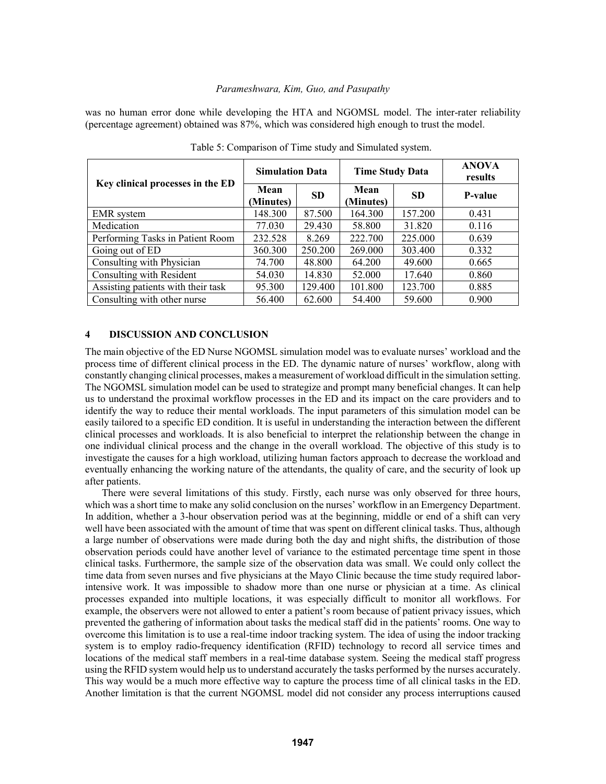was no human error done while developing the HTA and NGOMSL model. The inter-rater reliability (percentage agreement) obtained was 87%, which was considered high enough to trust the model.

| Key clinical processes in the ED   | <b>Simulation Data</b> |           | <b>Time Study Data</b> |           | <b>ANOVA</b><br>results |
|------------------------------------|------------------------|-----------|------------------------|-----------|-------------------------|
|                                    | Mean<br>(Minutes)      | <b>SD</b> | Mean<br>(Minutes)      | <b>SD</b> | <b>P-value</b>          |
| <b>EMR</b> system                  | 148.300                | 87.500    | 164.300                | 157.200   | 0.431                   |
| Medication                         | 77.030                 | 29.430    | 58.800                 | 31.820    | 0.116                   |
| Performing Tasks in Patient Room   | 232.528                | 8.269     | 222.700                | 225.000   | 0.639                   |
| Going out of ED                    | 360.300                | 250.200   | 269.000                | 303.400   | 0.332                   |
| Consulting with Physician          | 74.700                 | 48.800    | 64.200                 | 49.600    | 0.665                   |
| Consulting with Resident           | 54.030                 | 14.830    | 52.000                 | 17.640    | 0.860                   |
| Assisting patients with their task | 95.300                 | 129.400   | 101.800                | 123.700   | 0.885                   |
| Consulting with other nurse        | 56.400                 | 62.600    | 54.400                 | 59.600    | 0.900                   |

Table 5: Comparison of Time study and Simulated system.

# **4 DISCUSSION AND CONCLUSION**

The main objective of the ED Nurse NGOMSL simulation model was to evaluate nurses' workload and the process time of different clinical process in the ED. The dynamic nature of nurses' workflow, along with constantly changing clinical processes, makes a measurement of workload difficult in the simulation setting. The NGOMSL simulation model can be used to strategize and prompt many beneficial changes. It can help us to understand the proximal workflow processes in the ED and its impact on the care providers and to identify the way to reduce their mental workloads. The input parameters of this simulation model can be easily tailored to a specific ED condition. It is useful in understanding the interaction between the different clinical processes and workloads. It is also beneficial to interpret the relationship between the change in one individual clinical process and the change in the overall workload. The objective of this study is to investigate the causes for a high workload, utilizing human factors approach to decrease the workload and eventually enhancing the working nature of the attendants, the quality of care, and the security of look up after patients.

 There were several limitations of this study. Firstly, each nurse was only observed for three hours, which was a short time to make any solid conclusion on the nurses' workflow in an Emergency Department. In addition, whether a 3-hour observation period was at the beginning, middle or end of a shift can very well have been associated with the amount of time that was spent on different clinical tasks. Thus, although a large number of observations were made during both the day and night shifts, the distribution of those observation periods could have another level of variance to the estimated percentage time spent in those clinical tasks. Furthermore, the sample size of the observation data was small. We could only collect the time data from seven nurses and five physicians at the Mayo Clinic because the time study required laborintensive work. It was impossible to shadow more than one nurse or physician at a time. As clinical processes expanded into multiple locations, it was especially difficult to monitor all workflows. For example, the observers were not allowed to enter a patient's room because of patient privacy issues, which prevented the gathering of information about tasks the medical staff did in the patients' rooms. One way to overcome this limitation is to use a real-time indoor tracking system. The idea of using the indoor tracking system is to employ radio-frequency identification (RFID) technology to record all service times and locations of the medical staff members in a real-time database system. Seeing the medical staff progress using the RFID system would help us to understand accurately the tasks performed by the nurses accurately. This way would be a much more effective way to capture the process time of all clinical tasks in the ED. Another limitation is that the current NGOMSL model did not consider any process interruptions caused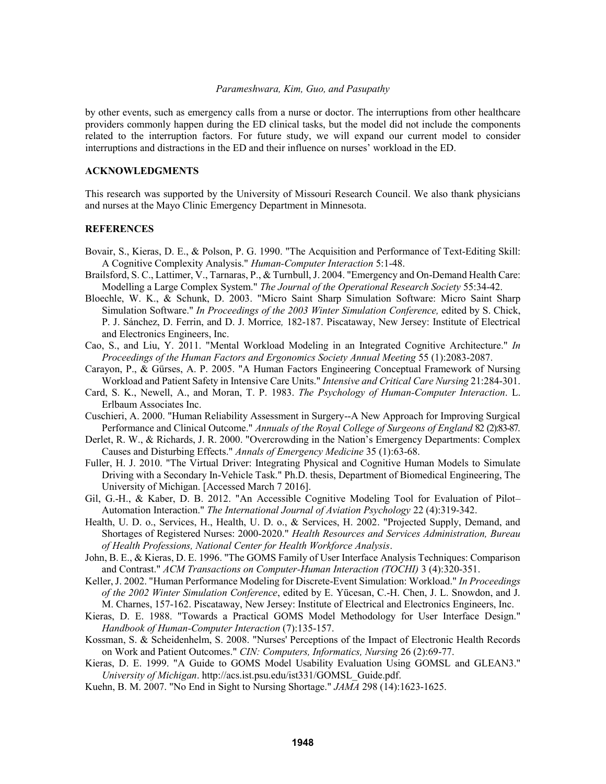by other events, such as emergency calls from a nurse or doctor. The interruptions from other healthcare providers commonly happen during the ED clinical tasks, but the model did not include the components related to the interruption factors. For future study, we will expand our current model to consider interruptions and distractions in the ED and their influence on nurses' workload in the ED.

# **ACKNOWLEDGMENTS**

This research was supported by the University of Missouri Research Council. We also thank physicians and nurses at the Mayo Clinic Emergency Department in Minnesota.

# **REFERENCES**

- Bovair, S., Kieras, D. E., & Polson, P. G. 1990. "The Acquisition and Performance of Text-Editing Skill: A Cognitive Complexity Analysis." *Human-Computer Interaction* 5:1-48.
- Brailsford, S. C., Lattimer, V., Tarnaras, P., & Turnbull, J. 2004. "Emergency and On-Demand Health Care: Modelling a Large Complex System." *The Journal of the Operational Research Society* 55:34-42.
- Bloechle, W. K., & Schunk, D. 2003. "Micro Saint Sharp Simulation Software: Micro Saint Sharp Simulation Software." *In Proceedings of the 2003 Winter Simulation Conference,* edited by S. Chick, P. J. Sánchez, D. Ferrin, and D. J. Morrice*,* 182-187. Piscataway, New Jersey: Institute of Electrical and Electronics Engineers, Inc.
- Cao, S., and Liu, Y. 2011. "Mental Workload Modeling in an Integrated Cognitive Architecture." *In Proceedings of the Human Factors and Ergonomics Society Annual Meeting* 55 (1):2083-2087.
- Carayon, P., & Gürses, A. P. 2005. "A Human Factors Engineering Conceptual Framework of Nursing Workload and Patient Safety in Intensive Care Units." *Intensive and Critical Care Nursing* 21:284-301.
- Card, S. K., Newell, A., and Moran, T. P. 1983. *The Psychology of Human-Computer Interaction*. L. Erlbaum Associates Inc.
- Cuschieri, A. 2000. "Human Reliability Assessment in Surgery--A New Approach for Improving Surgical Performance and Clinical Outcome." *Annuals of the Royal College of Surgeons of England* 82 (2):83-87.
- Derlet, R. W., & Richards, J. R. 2000. "Overcrowding in the Nation's Emergency Departments: Complex Causes and Disturbing Effects." *Annals of Emergency Medicine* 35 (1):63-68.
- Fuller, H. J. 2010. "The Virtual Driver: Integrating Physical and Cognitive Human Models to Simulate Driving with a Secondary In-Vehicle Task." Ph.D. thesis, Department of Biomedical Engineering, The University of Michigan. [Accessed March 7 2016].
- Gil, G.-H., & Kaber, D. B. 2012. "An Accessible Cognitive Modeling Tool for Evaluation of Pilot– Automation Interaction." *The International Journal of Aviation Psychology* 22 (4):319-342.
- Health, U. D. o., Services, H., Health, U. D. o., & Services, H. 2002. "Projected Supply, Demand, and Shortages of Registered Nurses: 2000-2020." *Health Resources and Services Administration, Bureau of Health Professions, National Center for Health Workforce Analysis*.
- John, B. E., & Kieras, D. E. 1996. "The GOMS Family of User Interface Analysis Techniques: Comparison and Contrast." *ACM Transactions on Computer-Human Interaction (TOCHI)* 3 (4):320-351.
- Keller, J. 2002. "Human Performance Modeling for Discrete-Event Simulation: Workload." *In Proceedings of the 2002 Winter Simulation Conference*, edited by E. Yücesan, C.-H. Chen, J. L. Snowdon, and J. M. Charnes, 157-162. Piscataway, New Jersey: Institute of Electrical and Electronics Engineers, Inc.
- Kieras, D. E. 1988. "Towards a Practical GOMS Model Methodology for User Interface Design." *Handbook of Human-Computer Interaction* (7):135-157.
- Kossman, S. & Scheidenhelm, S. 2008. "Nurses' Perceptions of the Impact of Electronic Health Records on Work and Patient Outcomes." *CIN: Computers, Informatics, Nursing* 26 (2):69-77.
- Kieras, D. E. 1999. "A Guide to GOMS Model Usability Evaluation Using GOMSL and GLEAN3." *University of Michigan*. http://acs.ist.psu.edu/ist331/GOMSL\_Guide.pdf.
- Kuehn, B. M. 2007. "No End in Sight to Nursing Shortage." *JAMA* 298 (14):1623-1625.